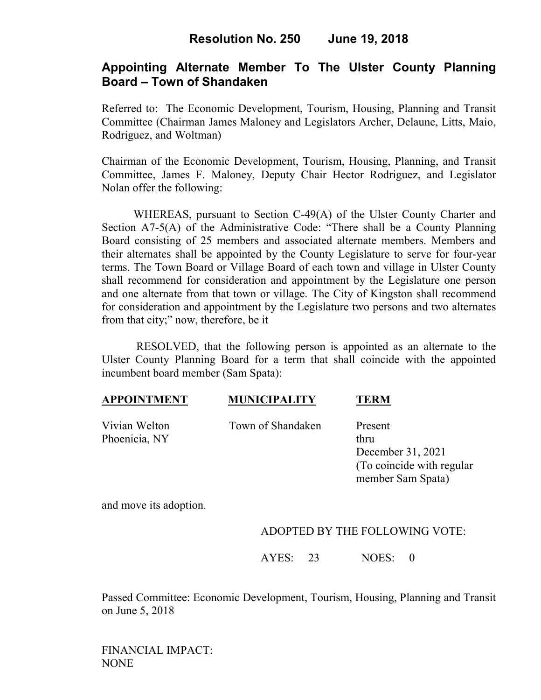## **Appointing Alternate Member To The Ulster County Planning Board – Town of Shandaken**

Referred to: The Economic Development, Tourism, Housing, Planning and Transit Committee (Chairman James Maloney and Legislators Archer, Delaune, Litts, Maio, Rodriguez, and Woltman)

Chairman of the Economic Development, Tourism, Housing, Planning, and Transit Committee, James F. Maloney, Deputy Chair Hector Rodriguez, and Legislator Nolan offer the following:

WHEREAS, pursuant to Section C-49(A) of the Ulster County Charter and Section A7-5(A) of the Administrative Code: "There shall be a County Planning Board consisting of 25 members and associated alternate members. Members and their alternates shall be appointed by the County Legislature to serve for four-year terms. The Town Board or Village Board of each town and village in Ulster County shall recommend for consideration and appointment by the Legislature one person and one alternate from that town or village. The City of Kingston shall recommend for consideration and appointment by the Legislature two persons and two alternates from that city;" now, therefore, be it

 RESOLVED, that the following person is appointed as an alternate to the Ulster County Planning Board for a term that shall coincide with the appointed incumbent board member (Sam Spata):

### **APPOINTMENT MUNICIPALITY TERM**

Phoenicia, NY thru

Vivian Welton Town of Shandaken Present

December 31, 2021 (To coincide with regular member Sam Spata)

and move its adoption.

## ADOPTED BY THE FOLLOWING VOTE:

AYES: 23 NOES: 0

Passed Committee: Economic Development, Tourism, Housing, Planning and Transit on June 5, 2018

FINANCIAL IMPACT: NONE